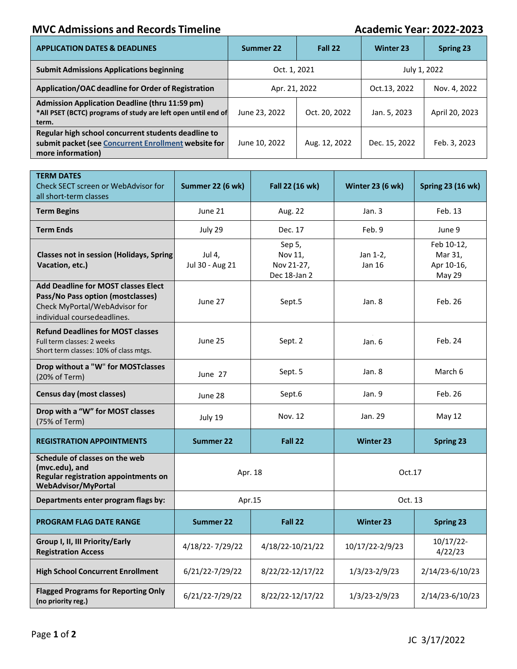## **MVC Admissions and Records Timeline Academic Year: 2022-2023**

| <b>APPLICATION DATES &amp; DEADLINES</b>                                                                                         | Summer 22     | Fall 22       | <b>Winter 23</b> | <b>Spring 23</b> |
|----------------------------------------------------------------------------------------------------------------------------------|---------------|---------------|------------------|------------------|
| <b>Submit Admissions Applications beginning</b>                                                                                  | Oct. 1, 2021  |               | July 1, 2022     |                  |
| Application/OAC deadline for Order of Registration                                                                               | Apr. 21, 2022 |               | Oct.13, 2022     | Nov. 4, 2022     |
| <b>Admission Application Deadline (thru 11:59 pm)</b><br>*All PSET (BCTC) programs of study are left open until end of<br>term.  | June 23, 2022 | Oct. 20, 2022 | Jan. 5, 2023     | April 20, 2023   |
| Regular high school concurrent students deadline to<br>submit packet (see Concurrent Enrollment website for<br>more information) | June 10, 2022 | Aug. 12, 2022 | Dec. 15, 2022    | Feb. 3, 2023     |

| <b>TERM DATES</b><br>Check SECT screen or WebAdvisor for<br>all short-term classes                                                              | Summer 22 (6 wk)          | Fall 22 (16 wk)                                 | <b>Winter 23 (6 wk)</b> | <b>Spring 23 (16 wk)</b>                      |  |
|-------------------------------------------------------------------------------------------------------------------------------------------------|---------------------------|-------------------------------------------------|-------------------------|-----------------------------------------------|--|
| <b>Term Begins</b>                                                                                                                              | June 21                   | Aug. 22                                         | Jan.3                   | Feb. 13                                       |  |
| <b>Term Ends</b>                                                                                                                                | July 29                   | Dec. 17                                         | Feb. 9                  | June 9                                        |  |
| Classes not in session (Holidays, Spring<br>Vacation, etc.)                                                                                     | Jul 4,<br>Jul 30 - Aug 21 | Sep 5,<br>Nov 11.<br>Nov 21-27,<br>Dec 18-Jan 2 | Jan 1-2,<br>Jan 16      | Feb 10-12,<br>Mar 31,<br>Apr 10-16,<br>May 29 |  |
| <b>Add Deadline for MOST classes Elect</b><br>Pass/No Pass option (mostclasses)<br>Check MyPortal/WebAdvisor for<br>individual coursedeadlines. | June 27                   | Sept.5                                          | Jan. 8                  | Feb. 26                                       |  |
| <b>Refund Deadlines for MOST classes</b><br>Full term classes: 2 weeks<br>Short term classes: 10% of class mtgs.                                | June 25                   | Sept. 2                                         | Jan. 6                  | Feb. 24                                       |  |
| Drop without a "W" for MOSTclasses<br>(20% of Term)                                                                                             | June 27                   | Sept. 5                                         | Jan. 8                  | March 6                                       |  |
| <b>Census day (most classes)</b>                                                                                                                | June 28                   | Sept.6                                          | Jan. 9                  | Feb. 26                                       |  |
| Drop with a "W" for MOST classes<br>(75% of Term)                                                                                               | July 19                   | Nov. 12                                         | Jan. 29                 | May 12                                        |  |
| <b>REGISTRATION APPOINTMENTS</b>                                                                                                                | <b>Summer 22</b>          | Fall 22                                         | <b>Winter 23</b>        | <b>Spring 23</b>                              |  |
| Schedule of classes on the web<br>(mvc.edu), and<br>Regular registration appointments on<br><b>WebAdvisor/MyPortal</b>                          | Apr. 18                   |                                                 | Oct.17                  |                                               |  |
| Departments enter program flags by:                                                                                                             | Apr.15                    |                                                 | Oct. 13                 |                                               |  |
| <b>PROGRAM FLAG DATE RANGE</b>                                                                                                                  | Summer 22                 | Fall 22                                         | <b>Winter 23</b>        | <b>Spring 23</b>                              |  |
| Group I, II, III Priority/Early<br><b>Registration Access</b>                                                                                   | 4/18/22-7/29/22           | 4/18/22-10/21/22                                | 10/17/22-2/9/23         | $10/17/22$ -<br>4/22/23                       |  |
| <b>High School Concurrent Enrollment</b>                                                                                                        | 6/21/22-7/29/22           | 8/22/22-12/17/22                                | $1/3/23 - 2/9/23$       | 2/14/23-6/10/23                               |  |
| <b>Flagged Programs for Reporting Only</b><br>(no priority reg.)                                                                                | 6/21/22-7/29/22           | 8/22/22-12/17/22                                | 1/3/23-2/9/23           | 2/14/23-6/10/23                               |  |